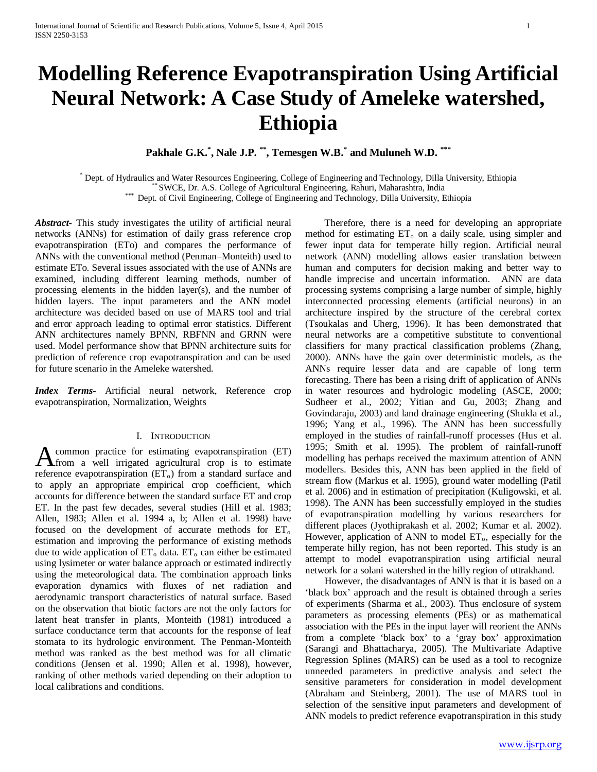# **Modelling Reference Evapotranspiration Using Artificial Neural Network: A Case Study of Ameleke watershed, Ethiopia**

**Pakhale G.K.\* , Nale J.P. \*\*, Temesgen W.B.\* and Muluneh W.D. \*\*\***

\* Dept. of Hydraulics and Water Resources Engineering, College of Engineering and Technology, Dilla University, Ethiopia<br>\*\*\* SWCE, Dr. A.S. College of Agricultural Engineering, Rahuri, Maharashtra, India<br>\*\*\* Dept. of Civil

*Abstract***-** This study investigates the utility of artificial neural networks (ANNs) for estimation of daily grass reference crop evapotranspiration (ETo) and compares the performance of ANNs with the conventional method (Penman–Monteith) used to estimate ETo. Several issues associated with the use of ANNs are examined, including different learning methods, number of processing elements in the hidden layer(s), and the number of hidden layers. The input parameters and the ANN model architecture was decided based on use of MARS tool and trial and error approach leading to optimal error statistics. Different ANN architectures namely BPNN, RBFNN and GRNN were used. Model performance show that BPNN architecture suits for prediction of reference crop evapotranspiration and can be used for future scenario in the Ameleke watershed.

*Index Terms*- Artificial neural network, Reference crop evapotranspiration, Normalization, Weights

## I. INTRODUCTION

common practice for estimating evapotranspiration (ET) A common practice for estimating evapotranspiration (ET)<br>
from a well irrigated agricultural crop is to estimate reference evapotranspiration  $(ET_0)$  from a standard surface and to apply an appropriate empirical crop coefficient, which accounts for difference between the standard surface ET and crop ET. In the past few decades, several studies (Hill et al. 1983; Allen, 1983; Allen et al. 1994 a, b; Allen et al. 1998) have focused on the development of accurate methods for  $ET_0$ estimation and improving the performance of existing methods due to wide application of  $ET_0$  data.  $ET_0$  can either be estimated using lysimeter or water balance approach or estimated indirectly using the meteorological data. The combination approach links evaporation dynamics with fluxes of net radiation and aerodynamic transport characteristics of natural surface. Based on the observation that biotic factors are not the only factors for latent heat transfer in plants, Monteith (1981) introduced a surface conductance term that accounts for the response of leaf stomata to its hydrologic environment. The Penman-Monteith method was ranked as the best method was for all climatic conditions (Jensen et al. 1990; Allen et al. 1998), however, ranking of other methods varied depending on their adoption to local calibrations and conditions.

 Therefore, there is a need for developing an appropriate method for estimating  $ET_0$  on a daily scale, using simpler and fewer input data for temperate hilly region. Artificial neural network (ANN) modelling allows easier translation between human and computers for decision making and better way to handle imprecise and uncertain information. ANN are data processing systems comprising a large number of simple, highly interconnected processing elements (artificial neurons) in an architecture inspired by the structure of the cerebral cortex (Tsoukalas and Uherg, 1996). It has been demonstrated that neural networks are a competitive substitute to conventional classifiers for many practical classification problems (Zhang, 2000). ANNs have the gain over deterministic models, as the ANNs require lesser data and are capable of long term forecasting. There has been a rising drift of application of ANNs in water resources and hydrologic modeling (ASCE, 2000; Sudheer et al., 2002; Yitian and Gu, 2003; Zhang and Govindaraju, 2003) and land drainage engineering (Shukla et al., 1996; Yang et al., 1996). The ANN has been successfully employed in the studies of rainfall-runoff processes (Hus et al. 1995; Smith et al. 1995). The problem of rainfall-runoff modelling has perhaps received the maximum attention of ANN modellers. Besides this, ANN has been applied in the field of stream flow (Markus et al. 1995), ground water modelling (Patil et al. 2006) and in estimation of precipitation (Kuligowski, et al. 1998). The ANN has been successfully employed in the studies of evapotranspiration modelling by various researchers for different places (Jyothiprakash et al. 2002; Kumar et al. 2002). However, application of ANN to model  $ET_0$ , especially for the temperate hilly region, has not been reported. This study is an attempt to model evapotranspiration using artificial neural network for a solani watershed in the hilly region of uttrakhand.

 However, the disadvantages of ANN is that it is based on a 'black box' approach and the result is obtained through a series of experiments (Sharma et al., 2003). Thus enclosure of system parameters as processing elements (PEs) or as mathematical association with the PEs in the input layer will reorient the ANNs from a complete 'black box' to a 'gray box' approximation (Sarangi and Bhattacharya, 2005). The Multivariate Adaptive Regression Splines (MARS) can be used as a tool to recognize unneeded parameters in predictive analysis and select the sensitive parameters for consideration in model development (Abraham and Steinberg, 2001). The use of MARS tool in selection of the sensitive input parameters and development of ANN models to predict reference evapotranspiration in this study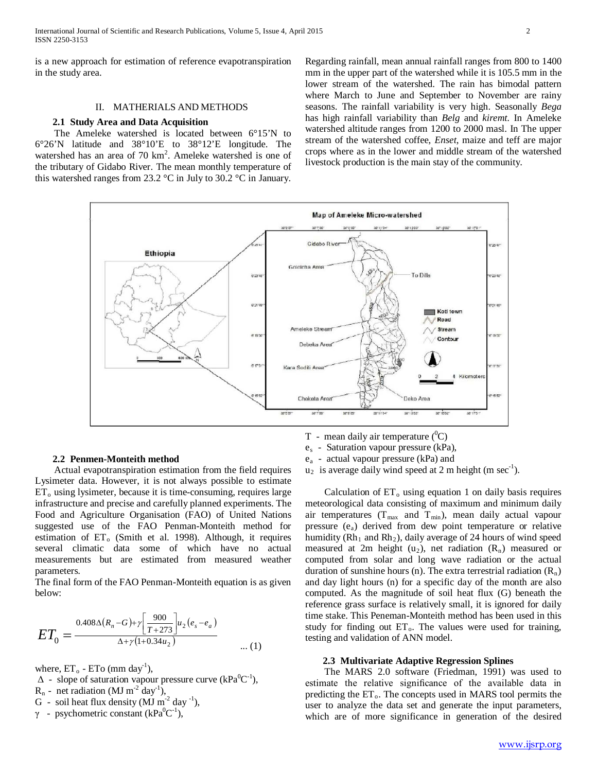is a new approach for estimation of reference evapotranspiration in the study area.

## II. MATHERIALS AND METHODS

#### **2.1 Study Area and Data Acquisition**

 The Ameleke watershed is located between 6°15'N to 6°26'N latitude and 38°10'E to 38°12'E longitude. The watershed has an area of 70 km<sup>2</sup>. Ameleke watershed is one of the tributary of Gidabo River. The mean monthly temperature of this watershed ranges from 23.2 °C in July to 30.2 °C in January.

Regarding rainfall, mean annual rainfall ranges from 800 to 1400 mm in the upper part of the watershed while it is 105.5 mm in the lower stream of the watershed. The rain has bimodal pattern where March to June and September to November are rainy seasons. The rainfall variability is very high. Seasonally *Bega*  has high rainfall variability than *Belg* and *kiremt*. In Ameleke watershed altitude ranges from 1200 to 2000 masl. In The upper stream of the watershed coffee, *Enset*, maize and teff are major crops where as in the lower and middle stream of the watershed livestock production is the main stay of the community.



## **2.2 Penmen-Monteith method**

 Actual evapotranspiration estimation from the field requires Lysimeter data. However, it is not always possible to estimate ET<sub>o</sub> using lysimeter, because it is time-consuming, requires large infrastructure and precise and carefully planned experiments. The Food and Agriculture Organisation (FAO) of United Nations suggested use of the FAO Penman-Monteith method for estimation of  $ET_0$  (Smith et al. 1998). Although, it requires several climatic data some of which have no actual measurements but are estimated from measured weather parameters.

The final form of the FAO Penman-Monteith equation is as given below:

$$
ET_0 = \frac{0.408\Delta(R_n - G) + \gamma \left[\frac{900}{T + 273}\right] u_2(e_s - e_a)}{\Delta + \gamma (1 + 0.34u_2)} \qquad \qquad \dots (1)
$$

where,  $ET_0$  -  $ET_0$  (mm day<sup>-1</sup>),

- $\Delta$  slope of saturation vapour pressure curve (kPa<sup>0</sup>C<sup>-1</sup>),
- $R_n$  net radiation (MJ m<sup>-2</sup> day<sup>-1</sup>),
- G soil heat flux density (MJ  $m^{-2}$  day  $^{-1}$ ),
- $γ$  psychometric constant (kPa<sup>0</sup>C<sup>-1</sup>),
- T mean daily air temperature  $(^{0}C)$
- es Saturation vapour pressure (kPa),
- ea actual vapour pressure (kPa) and
- $u_2$  is average daily wind speed at 2 m height (m sec<sup>-1</sup>).

Calculation of  $ET_0$  using equation 1 on daily basis requires meteorological data consisting of maximum and minimum daily air temperatures ( $T_{\text{max}}$  and  $T_{\text{min}}$ ), mean daily actual vapour pressure  $(e_a)$  derived from dew point temperature or relative humidity ( $Rh_1$  and  $Rh_2$ ), daily average of 24 hours of wind speed measured at 2m height (u<sub>2</sub>), net radiation ( $R_n$ ) measured or computed from solar and long wave radiation or the actual duration of sunshine hours (n). The extra terrestrial radiation  $(R_n)$ and day light hours (n) for a specific day of the month are also computed. As the magnitude of soil heat flux (G) beneath the reference grass surface is relatively small, it is ignored for daily time stake. This Peneman-Monteith method has been used in this study for finding out  $ET_0$ . The values were used for training, testing and validation of ANN model.

## **2.3 Multivariate Adaptive Regression Splines**

 The MARS 2.0 software (Friedman, 1991) was used to estimate the relative significance of the available data in predicting the  $ET_0$ . The concepts used in MARS tool permits the user to analyze the data set and generate the input parameters, which are of more significance in generation of the desired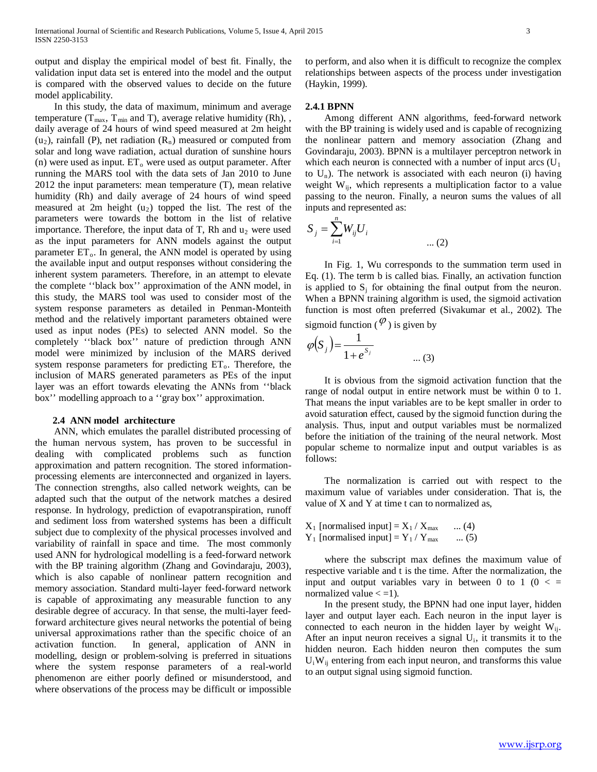output and display the empirical model of best fit. Finally, the validation input data set is entered into the model and the output is compared with the observed values to decide on the future model applicability.

 In this study, the data of maximum, minimum and average temperature ( $T_{max}$ ,  $T_{min}$  and T), average relative humidity (Rh), , daily average of 24 hours of wind speed measured at 2m height  $(u<sub>2</sub>)$ , rainfall (P), net radiation  $(R<sub>n</sub>)$  measured or computed from solar and long wave radiation, actual duration of sunshine hours (n) were used as input.  $ET_0$  were used as output parameter. After running the MARS tool with the data sets of Jan 2010 to June 2012 the input parameters: mean temperature (T), mean relative humidity (Rh) and daily average of 24 hours of wind speed measured at 2m height  $(u_2)$  topped the list. The rest of the parameters were towards the bottom in the list of relative importance. Therefore, the input data of T, Rh and  $u_2$  were used as the input parameters for ANN models against the output parameter  $ET_0$ . In general, the ANN model is operated by using the available input and output responses without considering the inherent system parameters. Therefore, in an attempt to elevate the complete ''black box'' approximation of the ANN model, in this study, the MARS tool was used to consider most of the system response parameters as detailed in Penman-Monteith method and the relatively important parameters obtained were used as input nodes (PEs) to selected ANN model. So the completely ''black box'' nature of prediction through ANN model were minimized by inclusion of the MARS derived system response parameters for predicting  $ET_0$ . Therefore, the inclusion of MARS generated parameters as PEs of the input layer was an effort towards elevating the ANNs from ''black box'' modelling approach to a ''gray box'' approximation.

## **2.4 ANN model architecture**

 ANN, which emulates the parallel distributed processing of the human nervous system, has proven to be successful in dealing with complicated problems such as function approximation and pattern recognition. The stored informationprocessing elements are interconnected and organized in layers. The connection strengths, also called network weights, can be adapted such that the output of the network matches a desired response. In hydrology, prediction of evapotranspiration, runoff and sediment loss from watershed systems has been a difficult subject due to complexity of the physical processes involved and variability of rainfall in space and time. The most commonly used ANN for hydrological modelling is a feed-forward network with the BP training algorithm (Zhang and Govindaraju, 2003), which is also capable of nonlinear pattern recognition and memory association. Standard multi-layer feed-forward network is capable of approximating any measurable function to any desirable degree of accuracy. In that sense, the multi-layer feedforward architecture gives neural networks the potential of being universal approximations rather than the specific choice of an activation function. In general, application of ANN in modelling, design or problem-solving is preferred in situations where the system response parameters of a real-world phenomenon are either poorly defined or misunderstood, and where observations of the process may be difficult or impossible

to perform, and also when it is difficult to recognize the complex relationships between aspects of the process under investigation (Haykin, 1999).

#### **2.4.1 BPNN**

 Among different ANN algorithms, feed-forward network with the BP training is widely used and is capable of recognizing the nonlinear pattern and memory association (Zhang and Govindaraju, 2003). BPNN is a multilayer perceptron network in which each neuron is connected with a number of input arcs  $(U_1)$ to  $U_n$ ). The network is associated with each neuron (i) having weight  $W_{ii}$ , which represents a multiplication factor to a value passing to the neuron. Finally, a neuron sums the values of all inputs and represented as:

∑= = *n i <sup>j</sup> WijUi S* 1 ... (2)

 In Fig. 1, Wu corresponds to the summation term used in Eq. (1). The term b is called bias. Finally, an activation function is applied to  $S_i$  for obtaining the final output from the neuron. When a BPNN training algorithm is used, the sigmoid activation function is most often preferred (Sivakumar et al., 2002). The sigmoid function ( $\varphi$ ) is given by

$$
\varphi(S_j) = \frac{1}{1 + e^{S_j}} \qquad \qquad \dots (3)
$$

 It is obvious from the sigmoid activation function that the range of nodal output in entire network must be within 0 to 1. That means the input variables are to be kept smaller in order to avoid saturation effect, caused by the sigmoid function during the analysis. Thus, input and output variables must be normalized before the initiation of the training of the neural network. Most popular scheme to normalize input and output variables is as follows:

 The normalization is carried out with respect to the maximum value of variables under consideration. That is, the value of X and Y at time t can to normalized as,

 $X_1$  [normalised input] =  $X_1 / X_{\text{max}}$  ... (4)  $Y_1$  [normalised input] =  $Y_1 / Y_{\text{max}}$  ... (5)

 where the subscript max defines the maximum value of respective variable and t is the time. After the normalization, the input and output variables vary in between 0 to 1 ( $0 <$  = normalized value  $\lt$  =1).

 In the present study, the BPNN had one input layer, hidden layer and output layer each. Each neuron in the input layer is connected to each neuron in the hidden layer by weight  $W_{ij}$ . After an input neuron receives a signal  $U_i$ , it transmits it to the hidden neuron. Each hidden neuron then computes the sum  $U_iW_{ii}$  entering from each input neuron, and transforms this value to an output signal using sigmoid function.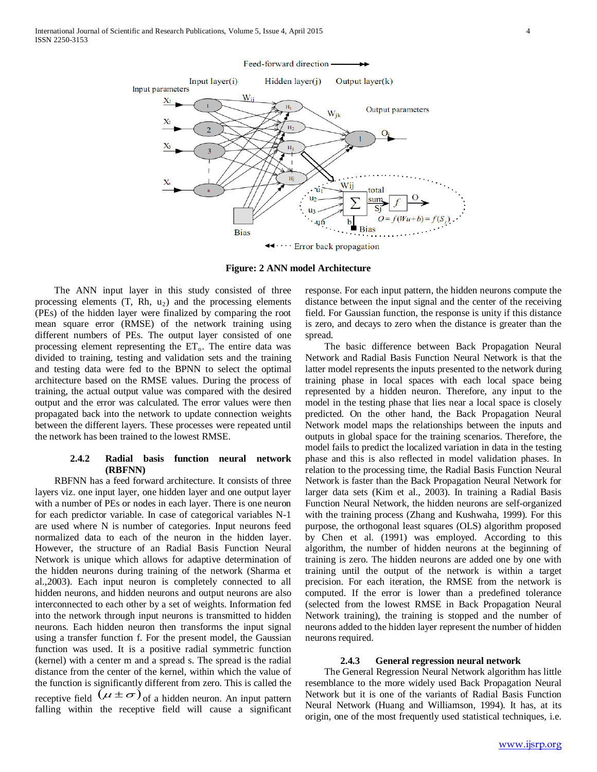

**Figure: 2 ANN model Architecture**

 The ANN input layer in this study consisted of three processing elements  $(T, Rh, u_2)$  and the processing elements (PEs) of the hidden layer were finalized by comparing the root mean square error (RMSE) of the network training using different numbers of PEs. The output layer consisted of one processing element representing the  $ET_0$ . The entire data was divided to training, testing and validation sets and the training and testing data were fed to the BPNN to select the optimal architecture based on the RMSE values. During the process of training, the actual output value was compared with the desired output and the error was calculated. The error values were then propagated back into the network to update connection weights between the different layers. These processes were repeated until the network has been trained to the lowest RMSE.

## **2.4.2 Radial basis function neural network (RBFNN)**

 RBFNN has a feed forward architecture. It consists of three layers viz. one input layer, one hidden layer and one output layer with a number of PEs or nodes in each layer. There is one neuron for each predictor variable. In case of categorical variables N-1 are used where N is number of categories. Input neurons feed normalized data to each of the neuron in the hidden layer. However, the structure of an Radial Basis Function Neural Network is unique which allows for adaptive determination of the hidden neurons during training of the network (Sharma et al.,2003). Each input neuron is completely connected to all hidden neurons, and hidden neurons and output neurons are also interconnected to each other by a set of weights. Information fed into the network through input neurons is transmitted to hidden neurons. Each hidden neuron then transforms the input signal using a transfer function f. For the present model, the Gaussian function was used. It is a positive radial symmetric function (kernel) with a center m and a spread s. The spread is the radial distance from the center of the kernel, within which the value of the function is significantly different from zero. This is called the receptive field  $(\mu \pm \sigma)$  of a hidden neuron. An input pattern falling within the receptive field will cause a significant response. For each input pattern, the hidden neurons compute the distance between the input signal and the center of the receiving field. For Gaussian function, the response is unity if this distance is zero, and decays to zero when the distance is greater than the spread.

 The basic difference between Back Propagation Neural Network and Radial Basis Function Neural Network is that the latter model represents the inputs presented to the network during training phase in local spaces with each local space being represented by a hidden neuron. Therefore, any input to the model in the testing phase that lies near a local space is closely predicted. On the other hand, the Back Propagation Neural Network model maps the relationships between the inputs and outputs in global space for the training scenarios. Therefore, the model fails to predict the localized variation in data in the testing phase and this is also reflected in model validation phases. In relation to the processing time, the Radial Basis Function Neural Network is faster than the Back Propagation Neural Network for larger data sets (Kim et al., 2003). In training a Radial Basis Function Neural Network, the hidden neurons are self-organized with the training process (Zhang and Kushwaha, 1999). For this purpose, the orthogonal least squares (OLS) algorithm proposed by Chen et al. (1991) was employed. According to this algorithm, the number of hidden neurons at the beginning of training is zero. The hidden neurons are added one by one with training until the output of the network is within a target precision. For each iteration, the RMSE from the network is computed. If the error is lower than a predefined tolerance (selected from the lowest RMSE in Back Propagation Neural Network training), the training is stopped and the number of neurons added to the hidden layer represent the number of hidden neurons required.

## **2.4.3 General regression neural network**

 The General Regression Neural Network algorithm has little resemblance to the more widely used Back Propagation Neural Network but it is one of the variants of Radial Basis Function Neural Network (Huang and Williamson, 1994). It has, at its origin, one of the most frequently used statistical techniques, i.e.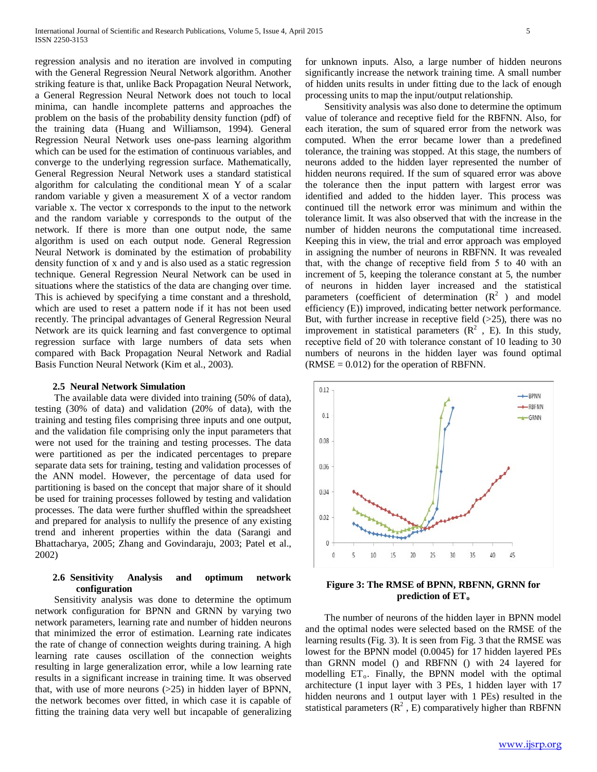regression analysis and no iteration are involved in computing with the General Regression Neural Network algorithm. Another striking feature is that, unlike Back Propagation Neural Network, a General Regression Neural Network does not touch to local minima, can handle incomplete patterns and approaches the problem on the basis of the probability density function (pdf) of the training data (Huang and Williamson, 1994). General Regression Neural Network uses one-pass learning algorithm which can be used for the estimation of continuous variables, and converge to the underlying regression surface. Mathematically, General Regression Neural Network uses a standard statistical algorithm for calculating the conditional mean Y of a scalar random variable y given a measurement X of a vector random variable x. The vector x corresponds to the input to the network and the random variable y corresponds to the output of the network. If there is more than one output node, the same algorithm is used on each output node. General Regression Neural Network is dominated by the estimation of probability density function of x and y and is also used as a static regression technique. General Regression Neural Network can be used in situations where the statistics of the data are changing over time. This is achieved by specifying a time constant and a threshold, which are used to reset a pattern node if it has not been used recently. The principal advantages of General Regression Neural Network are its quick learning and fast convergence to optimal regression surface with large numbers of data sets when compared with Back Propagation Neural Network and Radial Basis Function Neural Network (Kim et al., 2003).

## **2.5 Neural Network Simulation**

 The available data were divided into training (50% of data), testing (30% of data) and validation (20% of data), with the training and testing files comprising three inputs and one output, and the validation file comprising only the input parameters that were not used for the training and testing processes. The data were partitioned as per the indicated percentages to prepare separate data sets for training, testing and validation processes of the ANN model. However, the percentage of data used for partitioning is based on the concept that major share of it should be used for training processes followed by testing and validation processes. The data were further shuffled within the spreadsheet and prepared for analysis to nullify the presence of any existing trend and inherent properties within the data (Sarangi and Bhattacharya, 2005; Zhang and Govindaraju, 2003; Patel et al., 2002)

# **2.6 Sensitivity Analysis and optimum network configuration**

 Sensitivity analysis was done to determine the optimum network configuration for BPNN and GRNN by varying two network parameters, learning rate and number of hidden neurons that minimized the error of estimation. Learning rate indicates the rate of change of connection weights during training. A high learning rate causes oscillation of the connection weights resulting in large generalization error, while a low learning rate results in a significant increase in training time. It was observed that, with use of more neurons  $(>=25)$  in hidden layer of BPNN, the network becomes over fitted, in which case it is capable of fitting the training data very well but incapable of generalizing for unknown inputs. Also, a large number of hidden neurons significantly increase the network training time. A small number of hidden units results in under fitting due to the lack of enough processing units to map the input/output relationship.

 Sensitivity analysis was also done to determine the optimum value of tolerance and receptive field for the RBFNN. Also, for each iteration, the sum of squared error from the network was computed. When the error became lower than a predefined tolerance, the training was stopped. At this stage, the numbers of neurons added to the hidden layer represented the number of hidden neurons required. If the sum of squared error was above the tolerance then the input pattern with largest error was identified and added to the hidden layer. This process was continued till the network error was minimum and within the tolerance limit. It was also observed that with the increase in the number of hidden neurons the computational time increased. Keeping this in view, the trial and error approach was employed in assigning the number of neurons in RBFNN. It was revealed that, with the change of receptive field from 5 to 40 with an increment of 5, keeping the tolerance constant at 5, the number of neurons in hidden layer increased and the statistical parameters (coefficient of determination  $(R^2)$  and model efficiency (E)) improved, indicating better network performance. But, with further increase in receptive field  $(>25)$ , there was no improvement in statistical parameters  $(R^2, E)$ . In this study, receptive field of 20 with tolerance constant of 10 leading to 30 numbers of neurons in the hidden layer was found optimal  $(RMSE = 0.012)$  for the operation of RBFNN.



# **Figure 3: The RMSE of BPNN, RBFNN, GRNN for prediction of ET<sub>o</sub>**

 The number of neurons of the hidden layer in BPNN model and the optimal nodes were selected based on the RMSE of the learning results (Fig. 3). It is seen from Fig. 3 that the RMSE was lowest for the BPNN model (0.0045) for 17 hidden layered PEs than GRNN model () and RBFNN () with 24 layered for modelling  $ET_0$ . Finally, the BPNN model with the optimal architecture (1 input layer with 3 PEs, 1 hidden layer with 17 hidden neurons and 1 output layer with 1 PEs) resulted in the statistical parameters  $(R^2, E)$  comparatively higher than RBFNN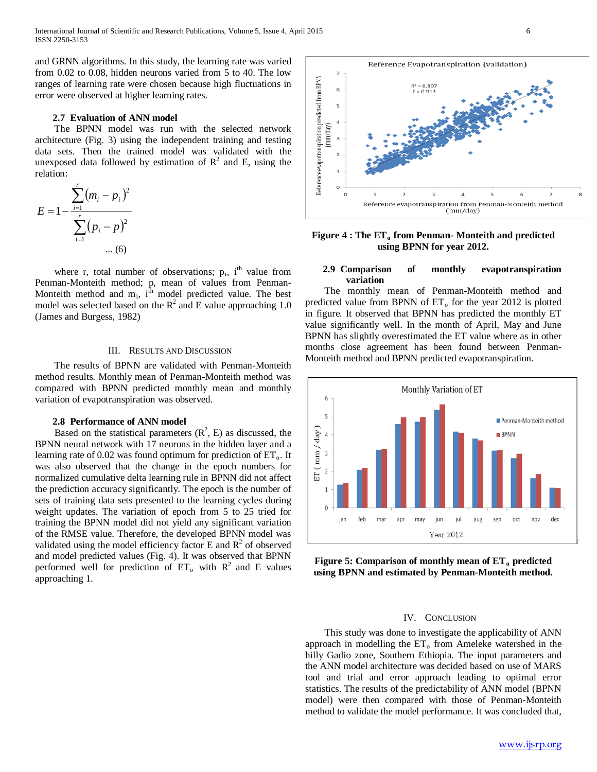and GRNN algorithms. In this study, the learning rate was varied from 0.02 to 0.08, hidden neurons varied from 5 to 40. The low ranges of learning rate were chosen because high fluctuations in error were observed at higher learning rates.

## **2.7 Evaluation of ANN model**

 The BPNN model was run with the selected network architecture (Fig. 3) using the independent training and testing data sets. Then the trained model was validated with the unexposed data followed by estimation of  $\mathbb{R}^2$  and E, using the relation:

$$
E = 1 - \frac{\sum_{i=1}^{r} (m_i - p_i)^2}{\sum_{i=1}^{r} (p_i - p)^2}
$$
 ... (6)

where r, total number of observations;  $p_i$ , i<sup>th</sup> value from Penman-Monteith method; p, mean of values from Penman-Monteith method and  $m_i$ ,  $i<sup>th</sup>$  model predicted value. The best model was selected based on the  $R^2$  and E value approaching 1.0 (James and Burgess, 1982)

## III. RESULTS AND DISCUSSION

 The results of BPNN are validated with Penman-Monteith method results. Monthly mean of Penman-Monteith method was compared with BPNN predicted monthly mean and monthly variation of evapotranspiration was observed.

## **2.8 Performance of ANN model**

Based on the statistical parameters  $(R^2, E)$  as discussed, the BPNN neural network with 17 neurons in the hidden layer and a learning rate of 0.02 was found optimum for prediction of  $ET_0$ . It was also observed that the change in the epoch numbers for normalized cumulative delta learning rule in BPNN did not affect the prediction accuracy significantly. The epoch is the number of sets of training data sets presented to the learning cycles during weight updates. The variation of epoch from 5 to 25 tried for training the BPNN model did not yield any significant variation of the RMSE value. Therefore, the developed BPNN model was validated using the model efficiency factor E and  $\mathbb{R}^2$  of observed and model predicted values (Fig. 4). It was observed that BPNN performed well for prediction of  $ET_0$  with  $R^2$  and E values approaching 1.



## **Figure 4 : The ET<sub>o</sub> from Penman-** Monteith and predicted **using BPNN for year 2012.**

# **2.9 Comparison of monthly evapotranspiration variation**

 The monthly mean of Penman-Monteith method and predicted value from BPNN of  $ET_0$  for the year 2012 is plotted in figure. It observed that BPNN has predicted the monthly ET value significantly well. In the month of April, May and June BPNN has slightly overestimated the ET value where as in other months close agreement has been found between Penman-Monteith method and BPNN predicted evapotranspiration.



**Figure 5: Comparison of monthly mean of ET<sub>o</sub> predicted using BPNN and estimated by Penman-Monteith method.**

#### IV. CONCLUSION

 This study was done to investigate the applicability of ANN approach in modelling the  $ET_0$  from Ameleke watershed in the hilly Gadio zone, Southern Ethiopia. The input parameters and the ANN model architecture was decided based on use of MARS tool and trial and error approach leading to optimal error statistics. The results of the predictability of ANN model (BPNN model) were then compared with those of Penman-Monteith method to validate the model performance. It was concluded that,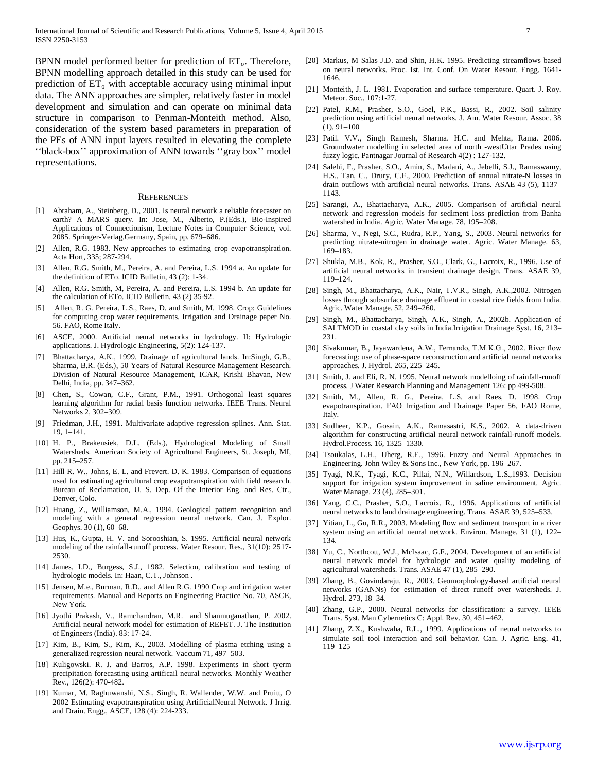BPNN model performed better for prediction of  $ET_0$ . Therefore, BPNN modelling approach detailed in this study can be used for prediction of  $ET_0$  with acceptable accuracy using minimal input data. The ANN approaches are simpler, relatively faster in model development and simulation and can operate on minimal data structure in comparison to Penman-Monteith method. Also, consideration of the system based parameters in preparation of the PEs of ANN input layers resulted in elevating the complete ''black-box'' approximation of ANN towards ''gray box'' model representations.

#### **REFERENCES**

- [1] Abraham, A., Steinberg, D., 2001. Is neural network a reliable forecaster on earth? A MARS query. In: Jose, M., Alberto, P.(Eds.), Bio-Inspired Applications of Connectionism, Lecture Notes in Computer Science, vol. 2085. Springer-Verlag,Germany, Spain, pp. 679–686.
- [2] Allen, R.G. 1983. New approaches to estimating crop evapotranspiration. Acta Hort, 335; 287-294.
- [3] Allen, R.G. Smith, M., Pereira, A. and Pereira, L.S. 1994 a. An update for the definition of ETo. ICID Bulletin, 43 (2): 1-34.
- [4] Allen, R.G. Smith, M, Pereira, A. and Pereira, L.S. 1994 b. An update for the calculation of ETo. ICID Bulletin. 43 (2) 35-92.
- [5] Allen, R. G. Pereira, L.S., Raes, D. and Smith, M. 1998. Crop: Guidelines for computing crop water requirements. Irrigation and Drainage paper No. 56. FAO, Rome Italy.
- [6] ASCE, 2000. Artificial neural networks in hydrology. II: Hydrologic applications. J. Hydrologic Engineering, 5(2): 124-137.
- [7] Bhattacharya, A.K., 1999. Drainage of agricultural lands. In:Singh, G.B., Sharma, B.R. (Eds.), 50 Years of Natural Resource Management Research. Division of Natural Resource Management, ICAR, Krishi Bhavan, New Delhi, India, pp. 347–362.
- [8] Chen, S., Cowan, C.F., Grant, P.M., 1991. Orthogonal least squares learning algorithm for radial basis function networks. IEEE Trans. Neural Networks 2, 302–309.
- [9] Friedman, J.H., 1991. Multivariate adaptive regression splines. Ann. Stat. 19, 1–141.
- [10] H. P., Brakensiek, D.L. (Eds.), Hydrological Modeling of Small Watersheds. American Society of Agricultural Engineers, St. Joseph, MI, pp. 215–257.
- [11] Hill R. W., Johns, E. L. and Frevert. D. K. 1983. Comparison of equations used for estimating agricultural crop evapotranspiration with field research. Bureau of Reclamation, U. S. Dep. Of the Interior Eng. and Res. Ctr., Denver, Colo.
- [12] Huang, Z., Williamson, M.A., 1994. Geological pattern recognition and modeling with a general regression neural network. Can. J. Explor. Geophys. 30 (1), 60–68.
- [13] Hus, K., Gupta, H. V. and Sorooshian, S. 1995. Artificial neural network modeling of the rainfall-runoff process. Water Resour. Res., 31(10): 2517- 2530.
- [14] James, I.D., Burgess, S.J., 1982. Selection, calibration and testing of hydrologic models. In: Haan, C.T., Johnson .
- [15] Jensen, M.e., Burman, R.D., and Allen R.G. 1990 Crop and irrigation water requirements. Manual and Reports on Engineering Practice No. 70, ASCE, New York.
- [16] Jyothi Prakash, V., Ramchandran, M.R. and Shanmuganathan, P. 2002. Artificial neural network model for estimation of REFET. J. The Institution of Engineers (India). 83: 17-24.
- [17] Kim, B., Kim, S., Kim, K., 2003. Modelling of plasma etching using a generalized regression neural network. Vaccum 71, 497–503.
- [18] Kuligowski. R. J. and Barros, A.P. 1998. Experiments in short tyerm precipitation forecasting using artificail neural networks. Monthly Weather Rev., 126(2): 470-482.
- [19] Kumar, M. Raghuwanshi, N.S., Singh, R. Wallender, W.W. and Pruitt, O 2002 Estimating evapotranspiration using ArtificialNeural Network. J Irrig. and Drain. Engg., ASCE, 128 (4): 224-233.
- [20] Markus, M Salas J.D. and Shin, H.K. 1995. Predicting streamflows based on neural networks. Proc. Ist. Int. Conf. On Water Resour. Engg. 1641- 1646.
- [21] Monteith, J. L. 1981. Evaporation and surface temperature. Quart. J. Roy. Meteor. Soc., 107:1-27.
- [22] Patel, R.M., Prasher, S.O., Goel, P.K., Bassi, R., 2002. Soil salinity prediction using artificial neural networks. J. Am. Water Resour. Assoc. 38  $(1), 91-100$
- [23] Patil. V.V., Singh Ramesh, Sharma. H.C. and Mehta, Rama. 2006. Groundwater modelling in selected area of north -westUttar Prades using fuzzy logic. Pantnagar Journal of Research 4(2) : 127-132.
- [24] Salehi, F., Prasher, S.O., Amin, S., Madani, A., Jebelli, S.J., Ramaswamy, H.S., Tan, C., Drury, C.F., 2000. Prediction of annual nitrate-N losses in drain outflows with artificial neural networks. Trans. ASAE 43 (5), 1137– 1143.
- [25] Sarangi, A., Bhattacharya, A.K., 2005. Comparison of artificial neural network and regression models for sediment loss prediction from Banha watershed in India. Agric. Water Manage. 78, 195–208.
- [26] Sharma, V., Negi, S.C., Rudra, R.P., Yang, S., 2003. Neural networks for predicting nitrate-nitrogen in drainage water. Agric. Water Manage. 63, 169–183.
- [27] Shukla, M.B., Kok, R., Prasher, S.O., Clark, G., Lacroix, R., 1996. Use of artificial neural networks in transient drainage design. Trans. ASAE 39, 119–124.
- [28] Singh, M., Bhattacharya, A.K., Nair, T.V.R., Singh, A.K.,2002. Nitrogen losses through subsurface drainage effluent in coastal rice fields from India. Agric. Water Manage. 52, 249–260.
- [29] Singh, M., Bhattacharya, Singh, A.K., Singh, A., 2002b. Application of SALTMOD in coastal clay soils in India.Irrigation Drainage Syst. 16, 213– 231.
- [30] Sivakumar, B., Jayawardena, A.W., Fernando, T.M.K.G., 2002. River flow forecasting: use of phase-space reconstruction and artificial neural networks approaches. J. Hydrol. 265, 225–245.
- [31] Smith, J. and Eli, R. N. 1995. Neural network modelloing of rainfall-runoff process. J Water Research Planning and Management 126: pp 499-508.
- [32] Smith, M., Allen, R. G., Pereira, L.S. and Raes, D. 1998. Crop evapotranspiration. FAO Irrigation and Drainage Paper 56, FAO Rome, Italy.
- [33] Sudheer, K.P., Gosain, A.K., Ramasastri, K.S., 2002. A data-driven algorithm for constructing artificial neural network rainfall-runoff models. Hydrol.Process. 16, 1325–1330.
- [34] Tsoukalas, L.H., Uherg, R.E., 1996. Fuzzy and Neural Approaches in Engineering. John Wiley & Sons Inc., New York, pp. 196–267.
- [35] Tyagi, N.K., Tyagi, K.C., Pillai, N.N., Willardson, L.S.,1993. Decision support for irrigation system improvement in saline environment. Agric. Water Manage. 23 (4), 285–301.
- [36] Yang, C.C., Prasher, S.O., Lacroix, R., 1996. Applications of artificial neural networks to land drainage engineering. Trans. ASAE 39, 525–533.
- [37] Yitian, L., Gu, R.R., 2003. Modeling flow and sediment transport in a river system using an artificial neural network. Environ. Manage. 31 (1), 122– 134.
- [38] Yu, C., Northcott, W.J., McIsaac, G.F., 2004. Development of an artificial neural network model for hydrologic and water quality modeling of agricultural watersheds. Trans. ASAE 47 (1), 285–290.
- [39] Zhang, B., Govindaraju, R., 2003. Geomorphology-based artificial neural networks (GANNs) for estimation of direct runoff over watersheds. J. Hydrol. 273, 18–34.
- [40] Zhang, G.P., 2000. Neural networks for classification: a survey. IEEE Trans. Syst. Man Cybernetics C: Appl. Rev. 30, 451–462.
- [41] Zhang, Z.X., Kushwaha, R.L., 1999. Applications of neural networks to simulate soil–tool interaction and soil behavior. Can. J. Agric. Eng. 41, 119–125